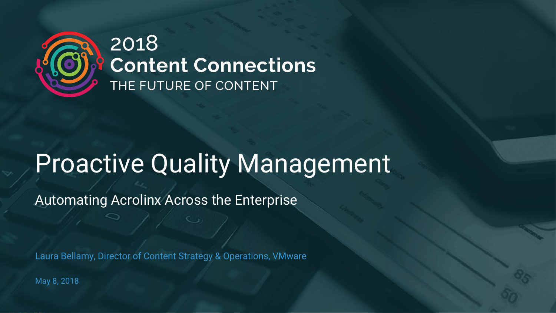

### 2018 **Content Connections** THE FUTURE OF CONTENT

# Proactive Quality Management

Automating Acrolinx Across the Enterprise

Laura Bellamy, Director of Content Strategy & Operations, VMware

May 8, 2018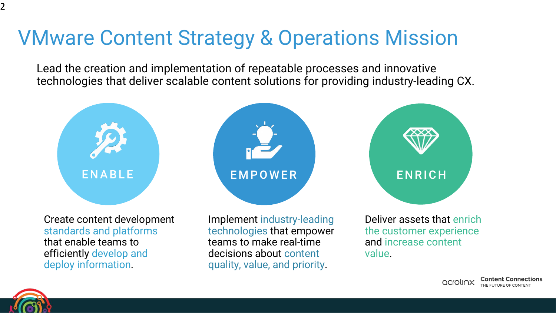### VMware Content Strategy & Operations Mission

Lead the creation and implementation of repeatable processes and innovative technologies that deliver scalable content solutions for providing industry-leading CX.



standards and platforms that enable teams to efficiently develop and deploy information.

technologies that empower teams to make real-time decisions about content quality, value, and priority.

Deliver assets that enrich the customer experience and increase content value.

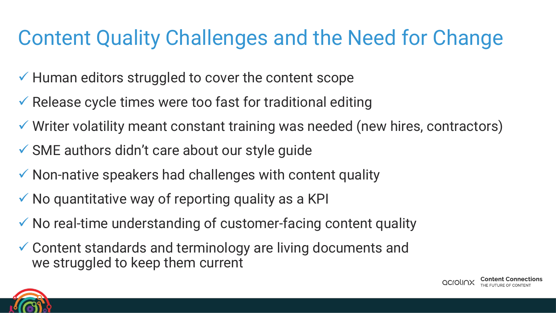# Content Quality Challenges and the Need for Change

- $\checkmark$  Human editors struggled to cover the content scope
- $\checkmark$  Release cycle times were too fast for traditional editing
- $\checkmark$  Writer volatility meant constant training was needed (new hires, contractors)
- $\checkmark$  SME authors didn't care about our style guide
- $\checkmark$  Non-native speakers had challenges with content quality
- $\checkmark$  No quantitative way of reporting quality as a KPI
- $\checkmark$  No real-time understanding of customer-facing content quality
- $\checkmark$  Content standards and terminology are living documents and we struggled to keep them current

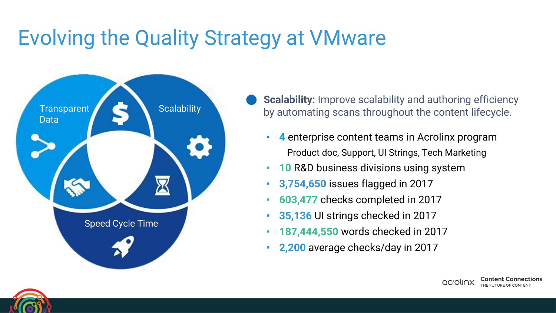

- **Scalability:** Improve scalability and authoring efficiency by automating scans throughout the content lifecycle.
	- **4** enterprise content teams in Acrolinx program Product doc, Support, UI Strings, Tech Marketing
	- **10** R&D business divisions using system
	- **3,754,650** issues flagged in 2017
	- **603,477** checks completed in 2017
	- **35,136** UI strings checked in 2017
	- **187,444,550** words checked in 2017
	- **2,200** average checks/day in 2017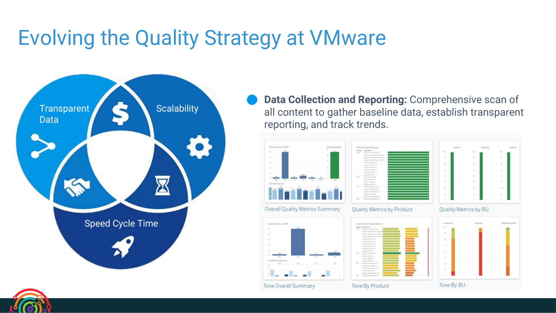

**Data Collection and Reporting:** Comprehensive scan of all content to gather baseline data, establish transparent reporting, and track trends.



#### Overall Quality Metrics Summary





### Quality Metrics by Product



#### Tone By Product

Quality Metrics by BU



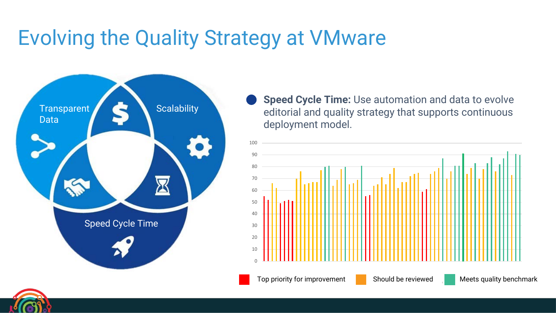

**Speed Cycle Time:** Use automation and data to evolve editorial and quality strategy that supports continuous deployment model.

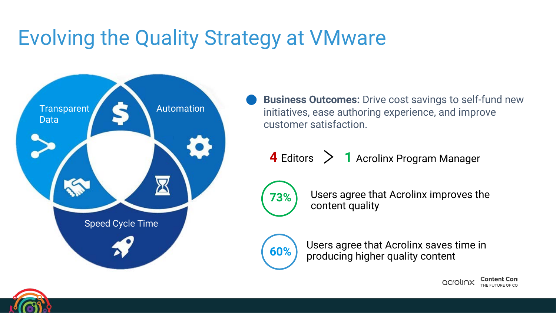

**Business Outcomes:** Drive cost savings to self-fund new initiatives, ease authoring experience, and improve customer satisfaction.

**4** Editors **1** Acrolinx Program Manager



Users agree that Acrolinx improves the **73%** Users agree that<br>content quality



Users agree that Acrolinx saves time in **60%** bigher quality content **60%** 

Content

acrolinx

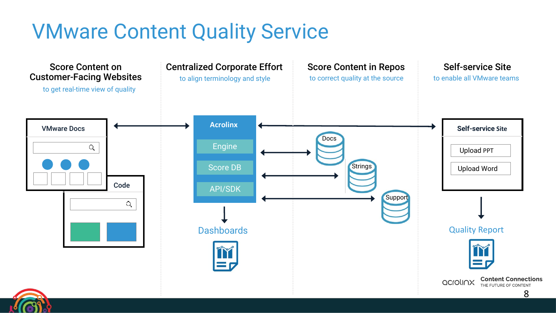### VMware Content Quality Service

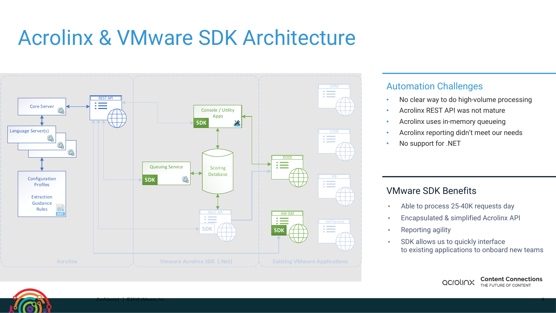### Acrolinx & VMware SDK Architecture



### Automation Challenges

- No clear way to do high-volume processing
- Acrolinx REST API was not mature
- Acrolinx uses in-memory queueing
- Acrolinx reporting didn't meet our needs
- No support for .NET

### VMware SDK Benefits

- Able to process 25-40K requests day
- Encapsulated & simplified Acrolinx API
- Reporting agility
- SDK allows us to quickly interface to existing applications to onboard new teams

acrolinx

**Content Connections** 

THE FUTURE OF CONTENT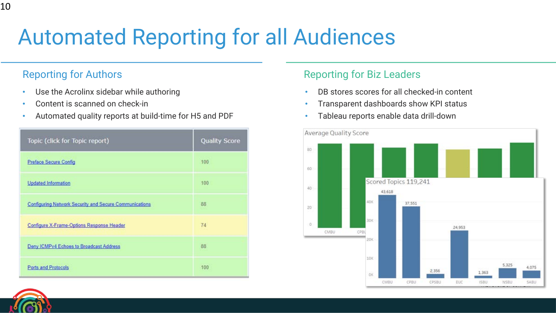# Automated Reporting for all Audiences

### Reporting for Authors

10

- Use the Acrolinx sidebar while authoring
- Content is scanned on check-in
- Automated quality reports at build-time for H5 and PDF

| Topic (click for Topic report)                         | <b>Quality Score</b> |
|--------------------------------------------------------|----------------------|
| <b>Preface Secure Config</b>                           | 100                  |
| <b>Updated Information</b>                             | 100                  |
| Configuring Network Security and Secure Communications | 88                   |
| Configure X-Frame-Options Response Header              | 74                   |
| Deny ICMPv4 Echoes to Broadcast Address                | 88                   |
| Ports and Protocols                                    | 100                  |

### Reporting for Biz Leaders

- DB stores scores for all checked-in content
- Transparent dashboards show KPI status
- Tableau reports enable data drill-down



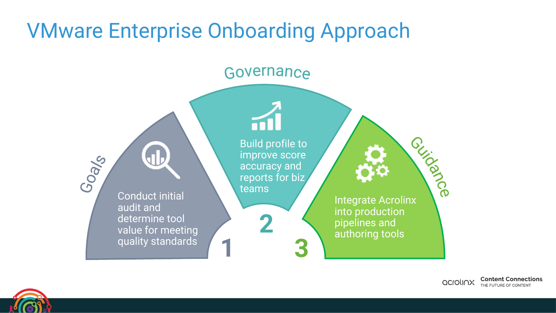### VMware Enterprise Onboarding Approach

### Governance

**Integrate Acrolinx** Build profile to improve score Goals accuracy and reports for biz teams Conduct initial audit and into production determine tool **2**pipelines and value for meeting authoring tools quality standards **1 3**

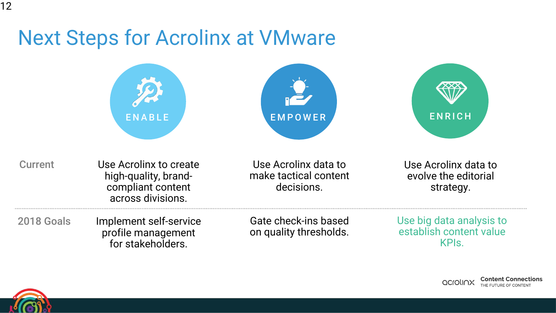### Next Steps for Acrolinx at VMware

|                | <b>ENABLE</b>                                                                            | <b>EMPOWER</b>                                              | <b>ENRICH</b>                                                           |
|----------------|------------------------------------------------------------------------------------------|-------------------------------------------------------------|-------------------------------------------------------------------------|
| <b>Current</b> | Use Acrolinx to create<br>high-quality, brand-<br>compliant content<br>across divisions. | Use Acrolinx data to<br>make tactical content<br>decisions. | Use Acrolinx data to<br>evolve the editorial<br>strategy.               |
| 2018 Goals     | Implement self-service<br>profile management<br>for stakeholders.                        | Gate check-ins based<br>on quality thresholds.              | Use big data analysis to<br>establish content value<br>KPI <sub>s</sub> |

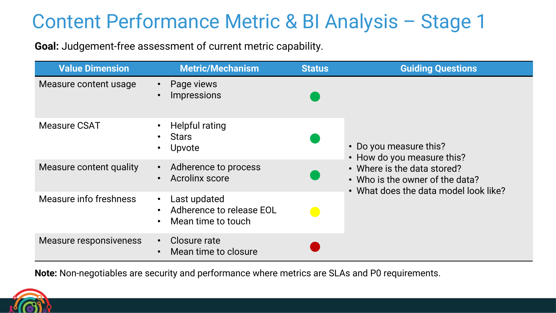### Content Performance Metric & BI Analysis – Stage 1

**Goal:** Judgement-free assessment of current metric capability.

| <b>Value Dimension</b>  | <b>Metric/Mechanism</b>                                                     | <b>Status</b> | <b>Guiding Questions</b>                                                                                |  |  |
|-------------------------|-----------------------------------------------------------------------------|---------------|---------------------------------------------------------------------------------------------------------|--|--|
| Measure content usage   | Page views<br>$\bullet$<br><b>Impressions</b>                               |               | • Do you measure this?<br>• How do you measure this?                                                    |  |  |
| <b>Measure CSAT</b>     | <b>Helpful rating</b><br><b>Stars</b><br>Upvote                             |               |                                                                                                         |  |  |
| Measure content quality | Adherence to process<br>$\bullet$<br><b>Acrolinx score</b><br>$\bullet$     |               | • Where is the data stored?<br>• Who is the owner of the data?<br>• What does the data model look like? |  |  |
| Measure info freshness  | Last updated<br>$\bullet$<br>Adherence to release EOL<br>Mean time to touch | e de          |                                                                                                         |  |  |
| Measure responsiveness  | Closure rate<br>$\bullet$<br>Mean time to closure                           |               |                                                                                                         |  |  |

**Note:** Non-negotiables are security and performance where metrics are SLAs and P0 requirements.

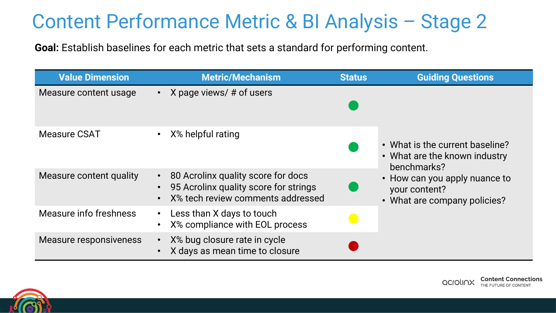### Content Performance Metric & BI Analysis – Stage 2

**Goal:** Establish baselines for each metric that sets a standard for performing content.

| <b>Value Dimension</b>  | Metric/Mechanism                                                                                                              | <b>Status</b> | <b>Guiding Questions</b>                                                                                                                                          |
|-------------------------|-------------------------------------------------------------------------------------------------------------------------------|---------------|-------------------------------------------------------------------------------------------------------------------------------------------------------------------|
| Measure content usage   | • X page views/ $#$ of users                                                                                                  |               | • What is the current baseline?<br>• What are the known industry<br>benchmarks?<br>• How can you apply nuance to<br>your content?<br>• What are company policies? |
| <b>Measure CSAT</b>     | X% helpful rating                                                                                                             |               |                                                                                                                                                                   |
| Measure content quality | 80 Acrolinx quality score for docs<br>$\bullet$<br>95 Acrolinx quality score for strings<br>X% tech review comments addressed |               |                                                                                                                                                                   |
| Measure info freshness  | Less than X days to touch<br>X% compliance with EOL process                                                                   |               |                                                                                                                                                                   |
| Measure responsiveness  | X% bug closure rate in cycle<br>X days as mean time to closure                                                                |               |                                                                                                                                                                   |

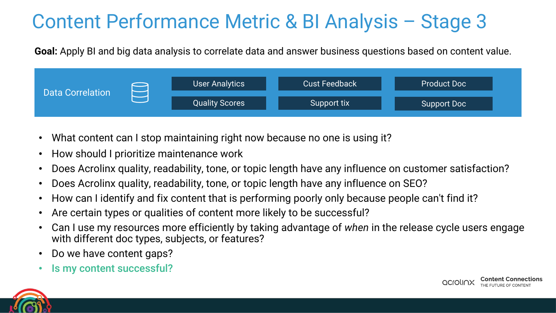### Content Performance Metric & BI Analysis – Stage 3

**Goal:** Apply BI and big data analysis to correlate data and answer business questions based on content value.



- What content can I stop maintaining right now because no one is using it?
- How should I prioritize maintenance work
- Does Acrolinx quality, readability, tone, or topic length have any influence on customer satisfaction?
- Does Acrolinx quality, readability, tone, or topic length have any influence on SEO?
- How can I identify and fix content that is performing poorly only because people can't find it?
- Are certain types or qualities of content more likely to be successful?
- Can I use my resources more efficiently by taking advantage of *when* in the release cycle users engage with different doc types, subjects, or features?
- Do we have content gaps?
- Is my content successful?